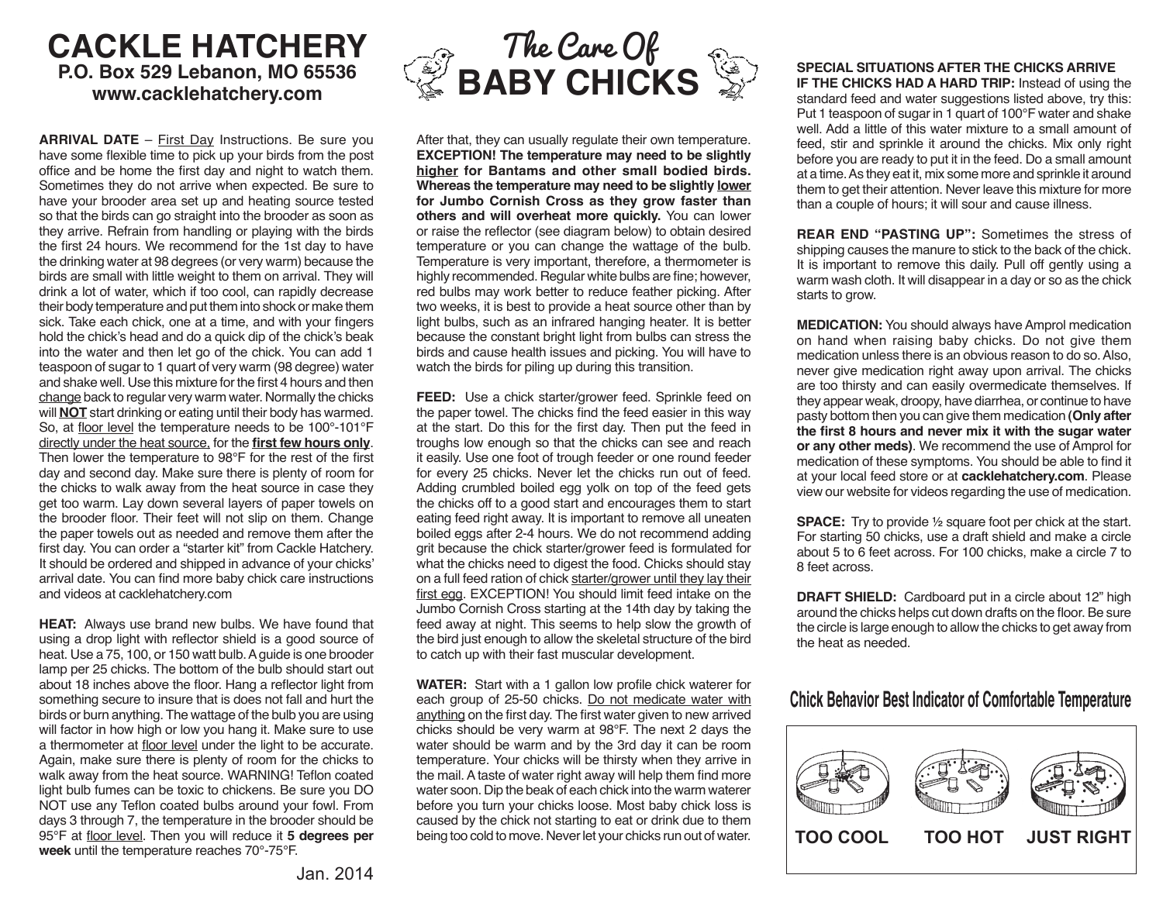# **CACKLE HATCHERY P.O. Box 529 Lebanon, MO 65536 www.cacklehatchery.com**

**ARRIVAL DATE** – First Day Instructions. Be sure you have some flexible time to pick up your birds from the post office and be home the first day and night to watch them. Sometimes they do not arrive when expected. Be sure to have your brooder area set up and heating source tested so that the birds can go straight into the brooder as soon as they arrive. Refrain from handling or playing with the birds the first 24 hours. We recommend for the 1st day to have the drinking water at 98 degrees (or very warm) because the birds are small with little weight to them on arrival. They will drink a lot of water, which if too cool, can rapidly decrease their body temperature and put them into shock or make them sick. Take each chick, one at a time, and with your fingers hold the chick's head and do a quick dip of the chick's beak into the water and then let go of the chick. You can add 1 teaspoon of sugar to 1 quart of very warm (98 degree) water and shake well. Use this mixture for the first 4 hours and then change back to regular very warm water. Normally the chicks will **NOT** start drinking or eating until their body has warmed. So, at floor level the temperature needs to be 100°-101°F directly under the heat source, for the **first few hours only**. Then lower the temperature to 98°F for the rest of the first day and second day. Make sure there is plenty of room for the chicks to walk away from the heat source in case they get too warm. Lay down several layers of paper towels on the brooder floor. Their feet will not slip on them. Change the paper towels out as needed and remove them after the first day. You can order a "starter kit" from Cackle Hatchery. It should be ordered and shipped in advance of your chicks' arrival date. You can find more baby chick care instructions and videos at cacklehatchery.com

**HEAT:** Always use brand new bulbs. We have found that using a drop light with reflector shield is a good source of heat. Use a 75, 100, or 150 watt bulb. A guide is one brooder lamp per 25 chicks. The bottom of the bulb should start out about 18 inches above the floor. Hang a reflector light from something secure to insure that is does not fall and hurt the birds or burn anything. The wattage of the bulb you are using will factor in how high or low you hang it. Make sure to use a thermometer at floor level under the light to be accurate. Again, make sure there is plenty of room for the chicks to walk away from the heat source. WARNING! Teflon coated light bulb fumes can be toxic to chickens. Be sure you DO NOT use any Teflon coated bulbs around your fowl. From days 3 through 7, the temperature in the brooder should be 95°F at floor level. Then you will reduce it **5 degrees per week** until the temperature reaches 70°-75°F.



After that, they can usually regulate their own temperature. **EXCEPTION! The temperature may need to be slightly higher for Bantams and other small bodied birds. Whereas the temperature may need to be slightly lower for Jumbo Cornish Cross as they grow faster than others and will overheat more quickly.** You can lower or raise the reflector (see diagram below) to obtain desired temperature or you can change the wattage of the bulb. Temperature is very important, therefore, a thermometer is highly recommended. Regular white bulbs are fine; however, red bulbs may work better to reduce feather picking. After two weeks, it is best to provide a heat source other than by light bulbs, such as an infrared hanging heater. It is better because the constant bright light from bulbs can stress the birds and cause health issues and picking. You will have to watch the birds for piling up during this transition.

**FEED:** Use a chick starter/grower feed. Sprinkle feed on the paper towel. The chicks find the feed easier in this way at the start. Do this for the first day. Then put the feed in troughs low enough so that the chicks can see and reach it easily. Use one foot of trough feeder or one round feeder for every 25 chicks. Never let the chicks run out of feed. Adding crumbled boiled egg yolk on top of the feed gets the chicks off to a good start and encourages them to start eating feed right away. It is important to remove all uneaten boiled eggs after 2-4 hours. We do not recommend adding grit because the chick starter/grower feed is formulated for what the chicks need to digest the food. Chicks should stay on a full feed ration of chick starter/grower until they lay their first egg. EXCEPTION! You should limit feed intake on the Jumbo Cornish Cross starting at the 14th day by taking the feed away at night. This seems to help slow the growth of the bird just enough to allow the skeletal structure of the bird to catch up with their fast muscular development.

**WATER:** Start with a 1 gallon low profile chick waterer for each group of 25-50 chicks. Do not medicate water with anything on the first day. The first water given to new arrived chicks should be very warm at 98°F. The next 2 days the water should be warm and by the 3rd day it can be room temperature. Your chicks will be thirsty when they arrive in the mail. A taste of water right away will help them find more water soon. Dip the beak of each chick into the warm waterer before you turn your chicks loose. Most baby chick loss is caused by the chick not starting to eat or drink due to them being too cold to move. Never let your chicks run out of water.

### **SPECIAL SITUATIONS AFTER THE CHICKS ARRIVE IF THE CHICKS HAD A HARD TRIP:** Instead of using the

standard feed and water suggestions listed above, try this: Put 1 teaspoon of sugar in 1 quart of 100°F water and shake well. Add a little of this water mixture to a small amount of feed, stir and sprinkle it around the chicks. Mix only right before you are ready to put it in the feed. Do a small amount at a time. As they eat it, mix some more and sprinkle it around them to get their attention. Never leave this mixture for more than a couple of hours; it will sour and cause illness.

**REAR END "PASTING UP":** Sometimes the stress of shipping causes the manure to stick to the back of the chick. It is important to remove this daily. Pull off gently using a warm wash cloth. It will disappear in a day or so as the chick starts to grow.

**MEDICATION:** You should always have Amprol medication on hand when raising baby chicks. Do not give them medication unless there is an obvious reason to do so. Also, never give medication right away upon arrival. The chicks are too thirsty and can easily overmedicate themselves. If they appear weak, droopy, have diarrhea, or continue to have pasty bottom then you can give them medication **(Only after the first 8 hours and never mix it with the sugar water or any other meds)**. We recommend the use of Amprol for medication of these symptoms. You should be able to find it at your local feed store or at **cacklehatchery.com**. Please view our website for videos regarding the use of medication.

**SPACE:** Try to provide ½ square foot per chick at the start. For starting 50 chicks, use a draft shield and make a circle about 5 to 6 feet across. For 100 chicks, make a circle 7 to 8 feet across.

**DRAFT SHIELD:** Cardboard put in a circle about 12" high around the chicks helps cut down drafts on the floor. Be sure the circle is large enough to allow the chicks to get away from the heat as needed.

## **Chick Behavior Best Indicator of Comfortable Temperature**